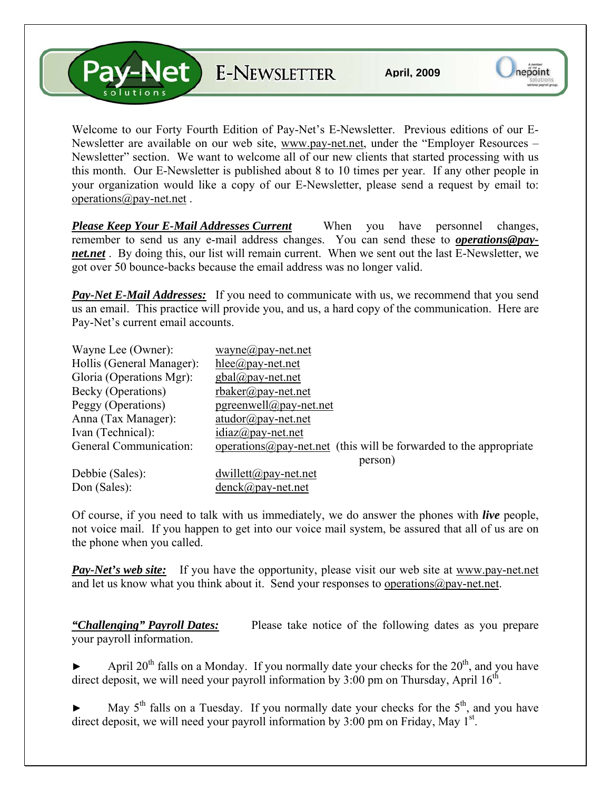V-Net E-NEWSLETTER

Welcome to our Forty Fourth Edition of Pay-Net's E-Newsletter. Previous editions of our E-Newsletter are available on our web site, [www.pay-net.net](http://www.pay-net.net/), under the "Employer Resources – Newsletter" section. We want to welcome all of our new clients that started processing with us this month. Our E-Newsletter is published about 8 to 10 times per year. If any other people in your organization would like a copy of our E-Newsletter, please send a request by email to: [operations@pay-net.net](mailto:operations@pay-net.net) .

*Please Keep Your E-Mail Addresses Current* When you have personnel changes, remember to send us any e-mail address changes. You can send these to *[operations@pay](mailto:operations@pay-net.net)[net.net](mailto:operations@pay-net.net)* . By doing this, our list will remain current. When we sent out the last E-Newsletter, we got over 50 bounce-backs because the email address was no longer valid.

**Pay-Net E-Mail Addresses:** If you need to communicate with us, we recommend that you send us an email. This practice will provide you, and us, a hard copy of the communication. Here are Pay-Net's current email accounts.

| Wayne Lee (Owner):        | wayne@pay-net.net                                                          |
|---------------------------|----------------------------------------------------------------------------|
| Hollis (General Manager): | hlee@pay-net.net                                                           |
| Gloria (Operations Mgr):  | $gbal@pay-net.net$                                                         |
| Becky (Operations)        | $r$ baker@pay-net.net                                                      |
| Peggy (Operations)        | $pgreenwell@pay-net.net$                                                   |
| Anna (Tax Manager):       | $atudor@pay-net.net$                                                       |
| Ivan (Technical):         | $idiaz(\omega)$ pay-net.net                                                |
| General Communication:    | operations $\omega$ pay-net net (this will be forwarded to the appropriate |
|                           | person)                                                                    |
| Debbie (Sales):           | $dwillett@pay-net.net$                                                     |
| Don (Sales):              | $denck@pay-net.net$                                                        |

Of course, if you need to talk with us immediately, we do answer the phones with *live* people, not voice mail. If you happen to get into our voice mail system, be assured that all of us are on the phone when you called.

*Pay-Net's web site:* If you have the opportunity, please visit our web site at [www.pay-net.net](http://www.pay-net.net/)  and let us know what you think about it. Send your responses to [operations@pay-net.net](mailto:website@pay-net.net).

*"Challenging" Payroll Dates:* Please take notice of the following dates as you prepare your payroll information.

April  $20<sup>th</sup>$  falls on a Monday. If you normally date your checks for the  $20<sup>th</sup>$ , and you have direct deposit, we will need your payroll information by  $3:00$  pm on Thursday, April  $16^{th}$ .

May  $5<sup>th</sup>$  falls on a Tuesday. If you normally date your checks for the  $5<sup>th</sup>$ , and you have direct deposit, we will need your payroll information by  $3:00$  pm on Friday, May  $1<sup>st</sup>$ .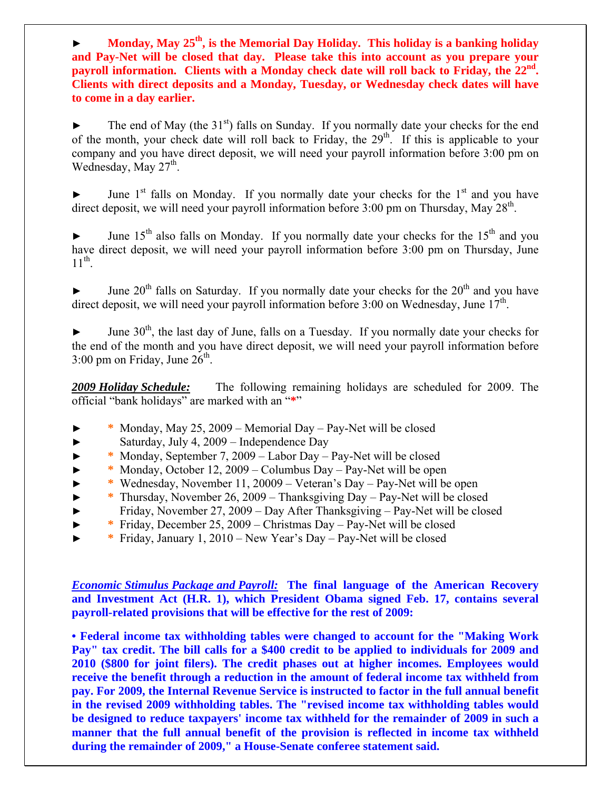► **Monday, May 25th, is the Memorial Day Holiday. This holiday is a banking holiday and Pay-Net will be closed that day. Please take this into account as you prepare your**  payroll information. Clients with a Monday check date will roll back to Friday, the 22<sup>nd</sup>. **Clients with direct deposits and a Monday, Tuesday, or Wednesday check dates will have to come in a day earlier.** 

 $\blacktriangleright$  The end of May (the 31<sup>st</sup>) falls on Sunday. If you normally date your checks for the end of the month, your check date will roll back to Friday, the  $29<sup>th</sup>$ . If this is applicable to your company and you have direct deposit, we will need your payroll information before 3:00 pm on Wednesday, May  $27<sup>th</sup>$ .

June  $1<sup>st</sup>$  falls on Monday. If you normally date your checks for the  $1<sup>st</sup>$  and you have direct deposit, we will need your payroll information before  $3:00$  pm on Thursday, May  $28<sup>th</sup>$ .

June  $15<sup>th</sup>$  also falls on Monday. If you normally date your checks for the  $15<sup>th</sup>$  and you have direct deposit, we will need your payroll information before 3:00 pm on Thursday, June  $11^{th}$ .

 $\blacktriangleright$  June 20<sup>th</sup> falls on Saturday. If you normally date your checks for the 20<sup>th</sup> and you have direct deposit, we will need your payroll information before 3:00 on Wednesday, June  $17<sup>th</sup>$ .

June  $30<sup>th</sup>$ , the last day of June, falls on a Tuesday. If you normally date your checks for the end of the month and you have direct deposit, we will need your payroll information before  $3:00$  pm on Friday, June  $26<sup>th</sup>$ .

*2009 Holiday Schedule:* The following remaining holidays are scheduled for 2009. The official "bank holidays" are marked with an "**\***"

- ► **\*** Monday, May 25, 2009 Memorial Day Pay-Net will be closed
- ► Saturday, July 4, 2009 Independence Day
- ► **\*** Monday, September 7, 2009 Labor Day Pay-Net will be closed
- ► **\*** Monday, October 12, 2009 Columbus Day Pay-Net will be open
- ► **\*** Wednesday, November 11, 20009 Veteran's Day Pay-Net will be open
- ► **\*** Thursday, November 26, 2009 Thanksgiving Day Pay-Net will be closed
- ► Friday, November 27, 2009 Day After Thanksgiving Pay-Net will be closed
- ► **\*** Friday, December 25, 2009 Christmas Day Pay-Net will be closed
- ► **\*** Friday, January 1, 2010 New Year's Day Pay-Net will be closed

*Economic Stimulus Package and Payroll:* **The final language of the American Recovery and Investment Act (H.R. 1), which President Obama signed Feb. 17, contains several payroll-related provisions that will be effective for the rest of 2009:** 

**• Federal income tax withholding tables were changed to account for the "Making Work Pay" tax credit. The bill calls for a \$400 credit to be applied to individuals for 2009 and 2010 (\$800 for joint filers). The credit phases out at higher incomes. Employees would receive the benefit through a reduction in the amount of federal income tax withheld from pay. For 2009, the Internal Revenue Service is instructed to factor in the full annual benefit in the revised 2009 withholding tables. The "revised income tax withholding tables would be designed to reduce taxpayers' income tax withheld for the remainder of 2009 in such a manner that the full annual benefit of the provision is reflected in income tax withheld during the remainder of 2009," a House-Senate conferee statement said.**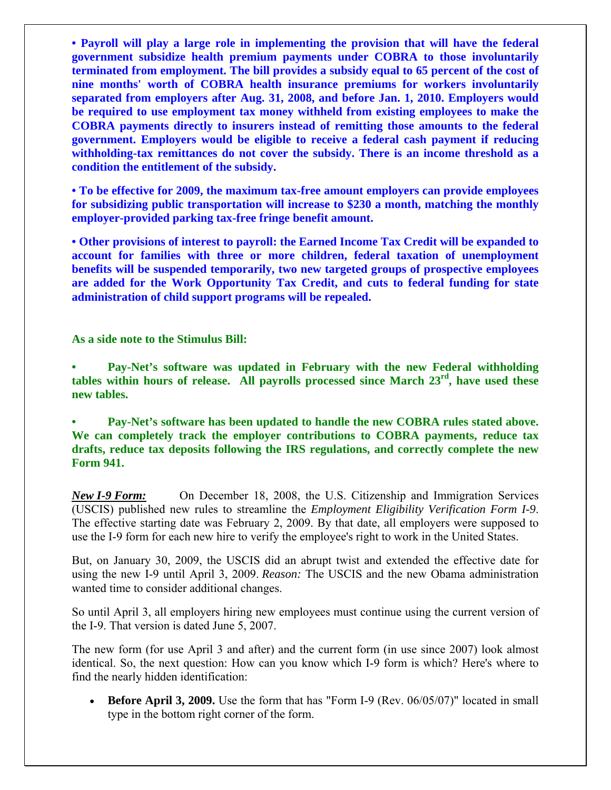**• Payroll will play a large role in implementing the provision that will have the federal government subsidize health premium payments under COBRA to those involuntarily terminated from employment. The bill provides a subsidy equal to 65 percent of the cost of nine months' worth of COBRA health insurance premiums for workers involuntarily separated from employers after Aug. 31, 2008, and before Jan. 1, 2010. Employers would be required to use employment tax money withheld from existing employees to make the COBRA payments directly to insurers instead of remitting those amounts to the federal government. Employers would be eligible to receive a federal cash payment if reducing withholding-tax remittances do not cover the subsidy. There is an income threshold as a condition the entitlement of the subsidy.** 

**• To be effective for 2009, the maximum tax-free amount employers can provide employees for subsidizing public transportation will increase to \$230 a month, matching the monthly employer-provided parking tax-free fringe benefit amount.** 

**• Other provisions of interest to payroll: the Earned Income Tax Credit will be expanded to account for families with three or more children, federal taxation of unemployment benefits will be suspended temporarily, two new targeted groups of prospective employees are added for the Work Opportunity Tax Credit, and cuts to federal funding for state administration of child support programs will be repealed.** 

**As a side note to the Stimulus Bill:** 

**• Pay-Net's software was updated in February with the new Federal withholding tables within hours of release. All payrolls processed since March 23rd, have used these new tables.** 

**• Pay-Net's software has been updated to handle the new COBRA rules stated above. We can completely track the employer contributions to COBRA payments, reduce tax drafts, reduce tax deposits following the IRS regulations, and correctly complete the new Form 941.** 

*New I-9 Form:* On December 18, 2008, the U.S. Citizenship and Immigration Services (USCIS) published new rules to streamline the *Employment Eligibility Verification Form I-9*. The effective starting date was February 2, 2009. By that date, all employers were supposed to use the I-9 form for each new hire to verify the employee's right to work in the United States.

But, on January 30, 2009, the USCIS did an abrupt twist and extended the effective date for using the new I-9 until April 3, 2009. *Reason:* The USCIS and the new Obama administration wanted time to consider additional changes.

So until April 3, all employers hiring new employees must continue using the current version of the I-9. That version is dated June 5, 2007.

The new form (for use April 3 and after) and the current form (in use since 2007) look almost identical. So, the next question: How can you know which I-9 form is which? Here's where to find the nearly hidden identification:

• **Before April 3, 2009.** Use the form that has "Form I-9 (Rev. 06/05/07)" located in small type in the bottom right corner of the form.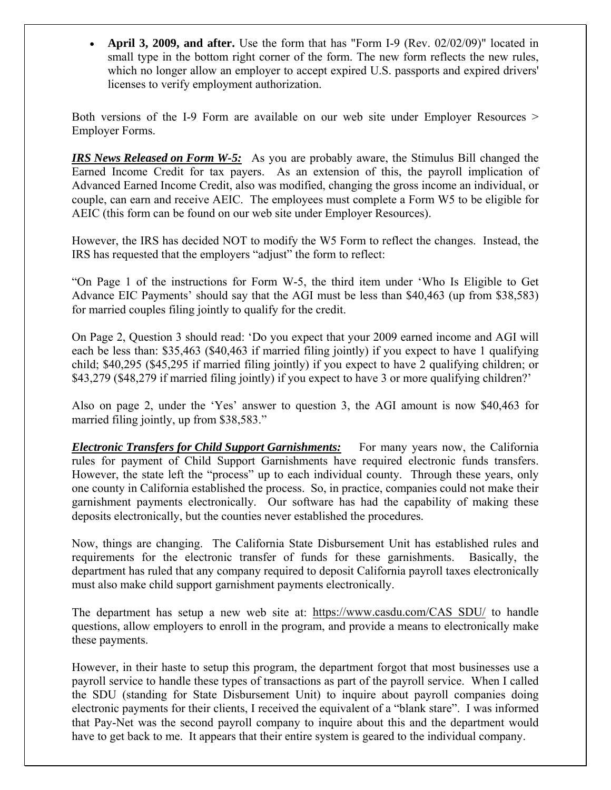• **April 3, 2009, and after.** Use the form that has "Form I-9 (Rev. 02/02/09)" located in small type in the bottom right corner of the form. The new form reflects the new rules, which no longer allow an employer to accept expired U.S. passports and expired drivers' licenses to verify employment authorization.

Both versions of the I-9 Form are available on our web site under Employer Resources > Employer Forms.

*IRS News Released on Form W-5:* As you are probably aware, the Stimulus Bill changed the Earned Income Credit for tax payers. As an extension of this, the payroll implication of Advanced Earned Income Credit, also was modified, changing the gross income an individual, or couple, can earn and receive AEIC. The employees must complete a Form W5 to be eligible for AEIC (this form can be found on our web site under Employer Resources).

However, the IRS has decided NOT to modify the W5 Form to reflect the changes. Instead, the IRS has requested that the employers "adjust" the form to reflect:

"On Page 1 of the instructions for Form W-5, the third item under 'Who Is Eligible to Get Advance EIC Payments' should say that the AGI must be less than \$40,463 (up from \$38,583) for married couples filing jointly to qualify for the credit.

On Page 2, Question 3 should read: 'Do you expect that your 2009 earned income and AGI will each be less than: \$35,463 (\$40,463 if married filing jointly) if you expect to have 1 qualifying child; \$40,295 (\$45,295 if married filing jointly) if you expect to have 2 qualifying children; or \$43,279 (\$48,279 if married filing jointly) if you expect to have 3 or more qualifying children?'

Also on page 2, under the 'Yes' answer to question 3, the AGI amount is now \$40,463 for married filing jointly, up from \$38,583."

*Electronic Transfers for Child Support Garnishments:* For many years now, the California rules for payment of Child Support Garnishments have required electronic funds transfers. However, the state left the "process" up to each individual county. Through these years, only one county in California established the process. So, in practice, companies could not make their garnishment payments electronically. Our software has had the capability of making these deposits electronically, but the counties never established the procedures.

Now, things are changing. The California State Disbursement Unit has established rules and requirements for the electronic transfer of funds for these garnishments. Basically, the department has ruled that any company required to deposit California payroll taxes electronically must also make child support garnishment payments electronically.

The department has setup a new web site at: [https://www.casdu.com/CAS\\_SDU/](https://www.casdu.com/CAS_SDU/) to handle questions, allow employers to enroll in the program, and provide a means to electronically make these payments.

However, in their haste to setup this program, the department forgot that most businesses use a payroll service to handle these types of transactions as part of the payroll service. When I called the SDU (standing for State Disbursement Unit) to inquire about payroll companies doing electronic payments for their clients, I received the equivalent of a "blank stare". I was informed that Pay-Net was the second payroll company to inquire about this and the department would have to get back to me. It appears that their entire system is geared to the individual company.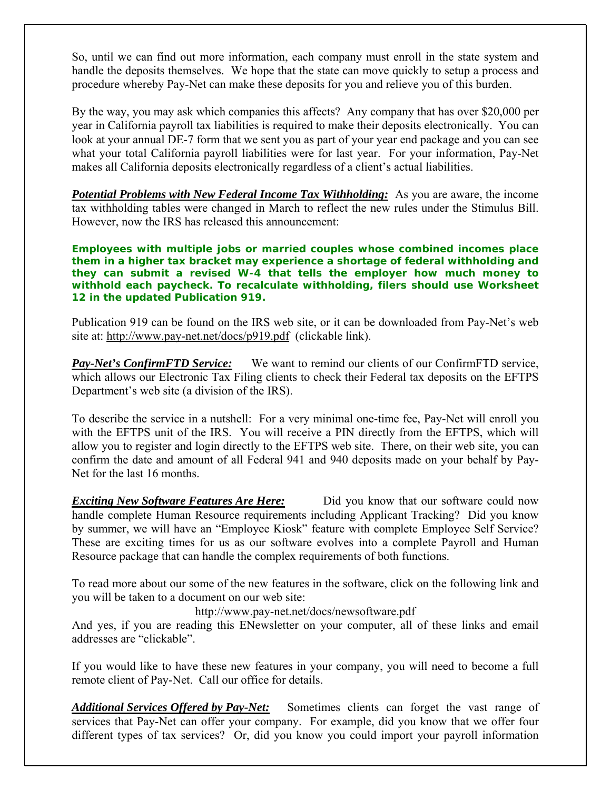So, until we can find out more information, each company must enroll in the state system and handle the deposits themselves. We hope that the state can move quickly to setup a process and procedure whereby Pay-Net can make these deposits for you and relieve you of this burden.

By the way, you may ask which companies this affects? Any company that has over \$20,000 per year in California payroll tax liabilities is required to make their deposits electronically. You can look at your annual DE-7 form that we sent you as part of your year end package and you can see what your total California payroll liabilities were for last year. For your information, Pay-Net makes all California deposits electronically regardless of a client's actual liabilities.

*Potential Problems with New Federal Income Tax Withholding:* As you are aware, the income tax withholding tables were changed in March to reflect the new rules under the Stimulus Bill. However, now the IRS has released this announcement:

**Employees with multiple jobs or married couples whose combined incomes place them in a higher tax bracket may experience a shortage of federal withholding and they can submit a revised W-4 that tells the employer how much money to withhold each paycheck. To recalculate withholding, filers should use Worksheet 12 in the updated Publication 919.** 

Publication 919 can be found on the IRS web site, or it can be downloaded from Pay-Net's web site at: <http://www.pay-net.net/docs/p919.pdf>(clickable link).

*Pay-Net's ConfirmFTD Service:* We want to remind our clients of our ConfirmFTD service, which allows our Electronic Tax Filing clients to check their Federal tax deposits on the EFTPS Department's web site (a division of the IRS).

To describe the service in a nutshell: For a very minimal one-time fee, Pay-Net will enroll you with the EFTPS unit of the IRS. You will receive a PIN directly from the EFTPS, which will allow you to register and login directly to the EFTPS web site. There, on their web site, you can confirm the date and amount of all Federal 941 and 940 deposits made on your behalf by Pay-Net for the last 16 months.

*Exciting New Software Features Are Here:* Did you know that our software could now handle complete Human Resource requirements including Applicant Tracking? Did you know by summer, we will have an "Employee Kiosk" feature with complete Employee Self Service? These are exciting times for us as our software evolves into a complete Payroll and Human Resource package that can handle the complex requirements of both functions.

To read more about our some of the new features in the software, click on the following link and you will be taken to a document on our web site:

## <http://www.pay-net.net/docs/newsoftware.pdf>

And yes, if you are reading this ENewsletter on your computer, all of these links and email addresses are "clickable".

If you would like to have these new features in your company, you will need to become a full remote client of Pay-Net. Call our office for details.

*Additional Services Offered by Pay-Net:* Sometimes clients can forget the vast range of services that Pay-Net can offer your company. For example, did you know that we offer four different types of tax services? Or, did you know you could import your payroll information